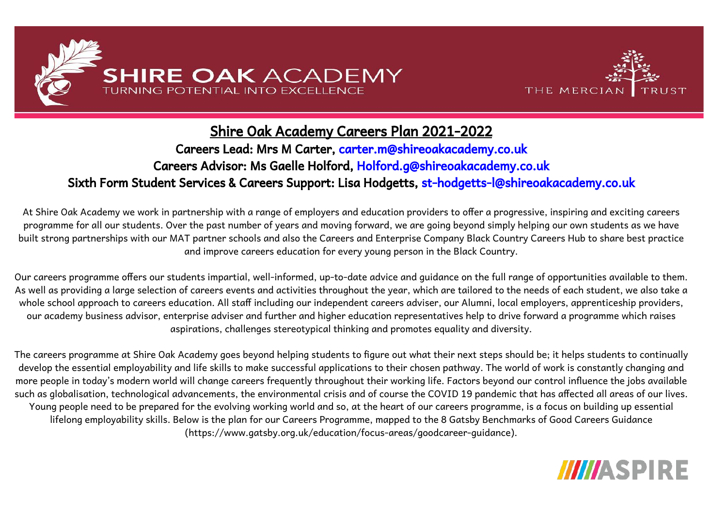



# Shire Oak Academy Careers Plan 2021-2022

# Careers Lead: Mrs M Carter, [carter.m@shireoakacademy.co.uk](mailto:carter.m@shireoakacademy.co.uk) Careers Advisor: Ms Gaelle Holford, Holford.[g@shireoakacademy.co.uk](mailto:st-douglas-g@shireoakacademy.co.uk) Sixth Form Student Services & Careers Support: Lisa Hodgetts, st-hodgetts-l@shireoakacademy.co.uk

At Shire Oak Academy we work in partnership with a range of employers and education providers to offer a progressive, inspiring and exciting careers programme for all our students. Over the past number of years and moving forward, we are going beyond simply helping our own students as we have built strong partnerships with our MAT partner schools and also the Careers and Enterprise Company Black Country Careers Hub to share best practice and improve careers education for every young person in the Black Country.

Our careers programme offers our students impartial, well-informed, up-to-date advice and guidance on the full range of opportunities available to them. As well as providing a large selection of careers events and activities throughout the year, which are tailored to the needs of each student, we also take a whole school approach to careers education. All staff including our independent careers adviser, our Alumni, local employers, apprenticeship providers, our academy business advisor, enterprise adviser and further and higher education representatives help to drive forward a programme which raises aspirations, challenges stereotypical thinking and promotes equality and diversity.

The careers programme at Shire Oak Academy goes beyond helping students to figure out what their next steps should be; it helps students to continually develop the essential employability and life skills to make successful applications to their chosen pathway. The world of work is constantly changing and more people in today's modern world will change careers frequently throughout their working life. Factors beyond our control influence the jobs available such as globalisation, technological advancements, the environmental crisis and of course the COVID 19 pandemic that has affected all areas of our lives. Young people need to be prepared for the evolving working world and so, at the heart of our careers programme, is a focus on building up essential lifelong employability skills. Below is the plan for our Careers Programme, mapped to the 8 Gatsby Benchmarks of Good Careers Guidance (https://www.gatsby.org.uk/education/focus-areas/goodcareer-guidance).

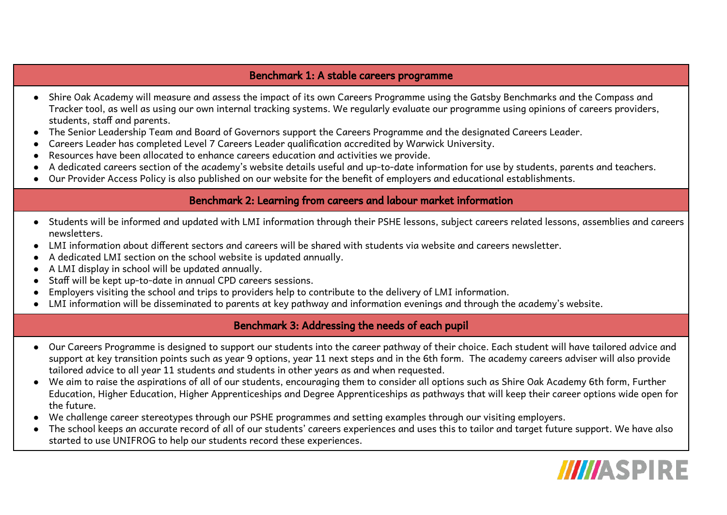#### Benchmark 1: A stable careers programme

- Shire Oak Academy will measure and assess the impact of its own Careers Programme using the Gatsby Benchmarks and the Compass and Tracker tool, as well as using our own internal tracking systems. We regularly evaluate our programme using opinions of careers providers, students, staff and parents.
- The Senior Leadership Team and Board of Governors support the Careers Programme and the designated Careers Leader.
- Careers Leader has completed Level 7 Careers Leader qualification accredited by Warwick University.
- Resources have been allocated to enhance careers education and activities we provide.
- A dedicated careers section of the academy's website details useful and up-to-date information for use by students, parents and teachers.
- Our Provider Access Policy is also published on our website for the benefit of employers and educational establishments.

#### Benchmark 2: Learning from careers and labour market information

- Students will be informed and updated with LMI information through their PSHE lessons, subject careers related lessons, assemblies and careers newsletters.
- LMI information about different sectors and careers will be shared with students via website and careers newsletter.
- A dedicated LMI section on the school website is updated annually.
- A LMI display in school will be updated annually.
- Staff will be kept up-to-date in annual CPD careers sessions.
- Employers visiting the school and trips to providers help to contribute to the delivery of LMI information.
- LMI information will be disseminated to parents at key pathway and information evenings and through the academy's website.

#### Benchmark 3: Addressing the needs of each pupil

- Our Careers Programme is designed to support our students into the career pathway of their choice. Each student will have tailored advice and support at key transition points such as year 9 options, year 11 next steps and in the 6th form. The academy careers adviser will also provide tailored advice to all year 11 students and students in other years as and when requested.
- We aim to raise the aspirations of all of our students, encouraging them to consider all options such as Shire Oak Academy 6th form, Further Education, Higher Education, Higher Apprenticeships and Degree Apprenticeships as pathways that will keep their career options wide open for the future.
- We challenge career stereotypes through our PSHE programmes and setting examples through our visiting employers.
- The school keeps an accurate record of all of our students' careers experiences and uses this to tailor and target future support. We have also started to use UNIFROG to help our students record these experiences.

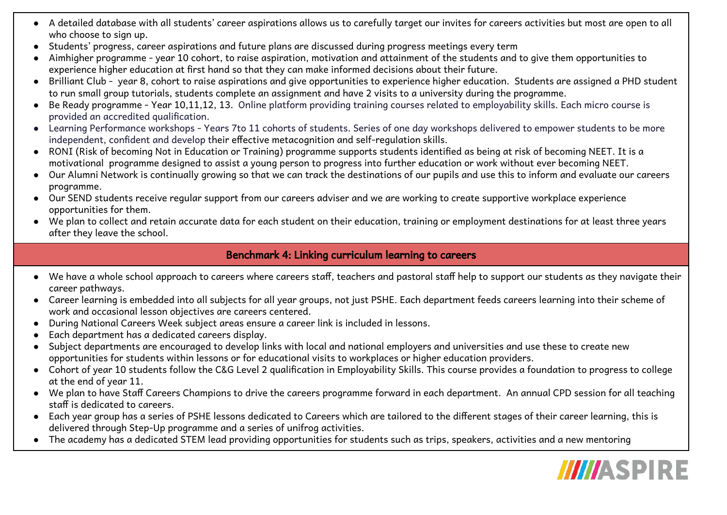- A detailed database with all students' career aspirations allows us to carefully target our invites for careers activities but most are open to all who choose to sign up.
- Students' progress, career aspirations and future plans are discussed during progress meetings every term
- Aimhigher programme year 10 cohort, to raise aspiration, motivation and attainment of the students and to give them opportunities to experience higher education at first hand so that they can make informed decisions about their future.
- Brilliant Club year 8, cohort to raise aspirations and give opportunities to experience higher education. Students are assigned a PHD student to run small group tutorials, students complete an assignment and have 2 visits to a university during the programme.
- Be Ready programme Year 10,11,12, 13. Online platform providing training courses related to employability skills. Each micro course is provided an accredited qualification.
- Learning Performance workshops Years 7to 11 cohorts of students. Series of one day workshops delivered to empower students to be more independent, confident and develop their effective metacognition and self-regulation skills.
- RONI (Risk of becoming Not in Education or Training) programme supports students identified as being at risk of becoming NEET. It is a motivational programme designed to assist a young person to progress into further education or work without ever becoming NEET.
- Our Alumni Network is continually growing so that we can track the destinations of our pupils and use this to inform and evaluate our careers programme.
- Our SEND students receive regular support from our careers adviser and we are working to create supportive workplace experience opportunities for them.
- We plan to collect and retain accurate data for each student on their education, training or employment destinations for at least three years after they leave the school.

## Benchmark 4: Linking curriculum learning to careers

- We have a whole school approach to careers where careers staff, teachers and pastoral staff help to support our students as they navigate their career pathways.
- Career learning is embedded into all subjects for all year groups, not just PSHE. Each department feeds careers learning into their scheme of work and occasional lesson objectives are careers centered.
- During National Careers Week subject areas ensure a career link is included in lessons.
- Each department has a dedicated careers display.
- Subject departments are encouraged to develop links with local and national employers and universities and use these to create new opportunities for students within lessons or for educational visits to workplaces or higher education providers.
- Cohort of year 10 students follow the C&G Level 2 qualification in Employability Skills. This course provides a foundation to progress to college at the end of year 11.
- We plan to have Staff Careers Champions to drive the careers programme forward in each department. An annual CPD session for all teaching staff is dedicated to careers.
- Each year group has a series of PSHE lessons dedicated to Careers which are tailored to the different stages of their career learning, this is delivered through Step-Up programme and a series of unifrog activities.
- The academy has a dedicated STEM lead providing opportunities for students such as trips, speakers, activities and a new mentoring

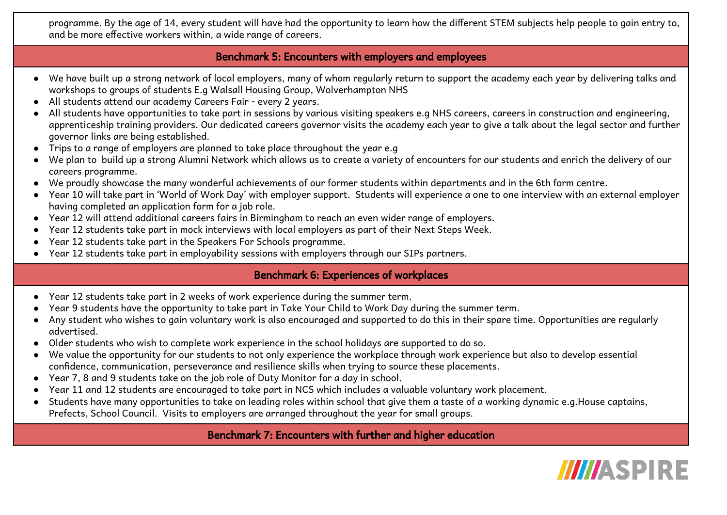programme. By the age of 14, every student will have had the opportunity to learn how the different STEM subjects help people to gain entry to, and be more effective workers within, a wide range of careers.

#### Benchmark 5: Encounters with employers and employees

- We have built up a strong network of local employers, many of whom regularly return to support the academy each year by delivering talks and workshops to groups of students E.g Walsall Housing Group, Wolverhampton NHS
- All students attend our academy Careers Fair every 2 years.
- All students have opportunities to take part in sessions by various visiting speakers e.g NHS careers, careers in construction and engineering, apprenticeship training providers. Our dedicated careers governor visits the academy each year to give a talk about the legal sector and further governor links are being established.
- Trips to a range of employers are planned to take place throughout the year e.g
- We plan to build up a strong Alumni Network which allows us to create a variety of encounters for our students and enrich the delivery of our careers programme.
- We proudly showcase the many wonderful achievements of our former students within departments and in the 6th form centre.
- Year 10 will take part in 'World of Work Day' with employer support. Students will experience a one to one interview with an external employer having completed an application form for a job role.
- Year 12 will attend additional careers fairs in Birmingham to reach an even wider range of employers.
- Year 12 students take part in mock interviews with local employers as part of their Next Steps Week.
- Year 12 students take part in the Speakers For Schools programme.
- Year 12 students take part in employability sessions with employers through our SIPs partners.

## Benchmark 6: Experiences of workplaces

- Year 12 students take part in 2 weeks of work experience during the summer term.
- Year 9 students have the opportunity to take part in Take Your Child to Work Day during the summer term.
- Any student who wishes to gain voluntary work is also encouraged and supported to do this in their spare time. Opportunities are regularly advertised.
- Older students who wish to complete work experience in the school holidays are supported to do so.
- We value the opportunity for our students to not only experience the workplace through work experience but also to develop essential confidence, communication, perseverance and resilience skills when trying to source these placements.
- Year 7, 8 and 9 students take on the job role of Duty Monitor for a day in school.
- Year 11 and 12 students are encouraged to take part in NCS which includes a valuable voluntary work placement.
- Students have many opportunities to take on leading roles within school that give them a taste of a working dynamic e.g.House captains, Prefects, School Council. Visits to employers are arranged throughout the year for small groups.

## Benchmark 7: Encounters with further and higher education

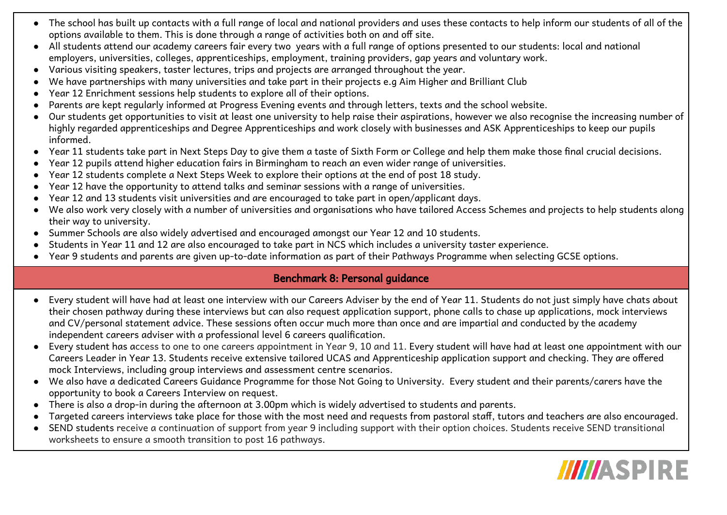- The school has built up contacts with a full range of local and national providers and uses these contacts to help inform our students of all of the options available to them. This is done through a range of activities both on and off site.
- All students attend our academy careers fair every two years with a full range of options presented to our students: local and national employers, universities, colleges, apprenticeships, employment, training providers, gap years and voluntary work.
- Various visiting speakers, taster lectures, trips and projects are arranged throughout the year.
- We have partnerships with many universities and take part in their projects e.g Aim Higher and Brilliant Club
- Year 12 Enrichment sessions help students to explore all of their options.
- Parents are kept regularly informed at Progress Evening events and through letters, texts and the school website.
- Our students get opportunities to visit at least one university to help raise their aspirations, however we also recognise the increasing number of highly regarded apprenticeships and Degree Apprenticeships and work closely with businesses and ASK Apprenticeships to keep our pupils informed.
- Year 11 students take part in Next Steps Day to give them a taste of Sixth Form or College and help them make those final crucial decisions.
- Year 12 pupils attend higher education fairs in Birmingham to reach an even wider range of universities.
- Year 12 students complete a Next Steps Week to explore their options at the end of post 18 study.
- Year 12 have the opportunity to attend talks and seminar sessions with a range of universities.
- Year 12 and 13 students visit universities and are encouraged to take part in open/applicant days.
- We also work very closely with a number of universities and organisations who have tailored Access Schemes and projects to help students along their way to university.
- Summer Schools are also widely advertised and encouraged amongst our Year 12 and 10 students.
- Students in Year 11 and 12 are also encouraged to take part in NCS which includes a university taster experience.
- Year 9 students and parents are given up-to-date information as part of their Pathways Programme when selecting GCSE options.

## Benchmark 8: Personal guidance

- Every student will have had at least one interview with our Careers Adviser by the end of Year 11. Students do not just simply have chats about their chosen pathway during these interviews but can also request application support, phone calls to chase up applications, mock interviews and CV/personal statement advice. These sessions often occur much more than once and are impartial and conducted by the academy independent careers adviser with a professional level 6 careers qualification.
- Every student has access to one to one careers appointment in Year 9, 10 and 11. Every student will have had at least one appointment with our Careers Leader in Year 13. Students receive extensive tailored UCAS and Apprenticeship application support and checking. They are offered mock Interviews, including group interviews and assessment centre scenarios.
- We also have a dedicated Careers Guidance Programme for those Not Going to University. Every student and their parents/carers have the opportunity to book a Careers Interview on request.
- There is also a drop-in during the afternoon at 3.00pm which is widely advertised to students and parents.
- Targeted careers interviews take place for those with the most need and requests from pastoral staff, tutors and teachers are also encouraged.
- SEND students receive a continuation of support from year 9 including support with their option choices. Students receive SEND transitional worksheets to ensure a smooth transition to post 16 pathways.